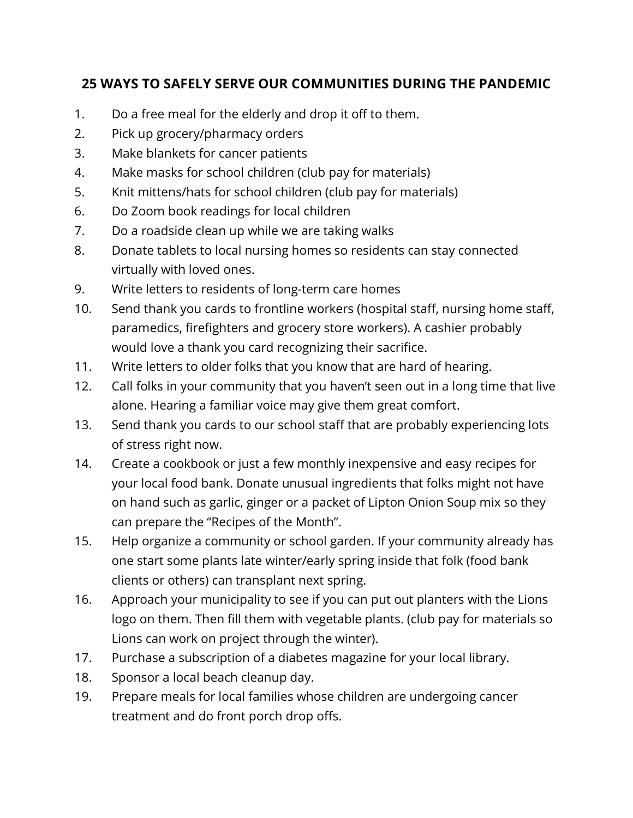## **25 WAYS TO SAFELY SERVE OUR COMMUNITIES DURING THE PANDEMIC**

- 1. Do a free meal for the elderly and drop it off to them.
- 2. Pick up grocery/pharmacy orders
- 3. Make blankets for cancer patients
- 4. Make masks for school children (club pay for materials)
- 5. Knit mittens/hats for school children (club pay for materials)
- 6. Do Zoom book readings for local children
- 7. Do a roadside clean up while we are taking walks
- 8. Donate tablets to local nursing homes so residents can stay connected virtually with loved ones.
- 9. Write letters to residents of long-term care homes
- 10. Send thank you cards to frontline workers (hospital staff, nursing home staff, paramedics, firefighters and grocery store workers). A cashier probably would love a thank you card recognizing their sacrifice.
- 11. Write letters to older folks that you know that are hard of hearing.
- 12. Call folks in your community that you haven't seen out in a long time that live alone. Hearing a familiar voice may give them great comfort.
- 13. Send thank you cards to our school staff that are probably experiencing lots of stress right now.
- 14. Create a cookbook or just a few monthly inexpensive and easy recipes for your local food bank. Donate unusual ingredients that folks might not have on hand such as garlic, ginger or a packet of Lipton Onion Soup mix so they can prepare the "Recipes of the Month".
- 15. Help organize a community or school garden. If your community already has one start some plants late winter/early spring inside that folk (food bank clients or others) can transplant next spring.
- 16. Approach your municipality to see if you can put out planters with the Lions logo on them. Then fill them with vegetable plants. (club pay for materials so Lions can work on project through the winter).
- 17. Purchase a subscription of a diabetes magazine for your local library.
- 18. Sponsor a local beach cleanup day.
- 19. Prepare meals for local families whose children are undergoing cancer treatment and do front porch drop offs.